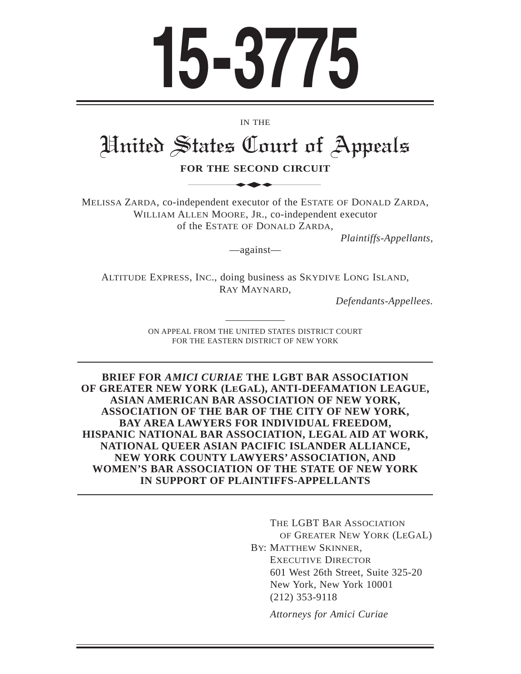# **15-3775**

IN THE

# United States Court of Appeals IN THE<br>
STATES Court of

**FOR THE SECOND CIRCUIT**

MELISSA ZARDA, co-independent executor of the ESTATE OF DONALD ZARDA, WILLIAM ALLEN MOORE, JR., co-independent executor of the ESTATE OF DONALD ZARDA,

*Plaintiffs-Appellants,*

—against—

ALTITUDE EXPRESS, INC., doing business as SKYDIVE LONG ISLAND, RAY MAYNARD,

*Defendants-Appellees.*

ON APPEAL FROM THE UNITED STATES DISTRICT COURT FOR THE EASTERN DISTRICT OF NEW YORK

**BRIEF FOR** *AMICI CURIAE* **THE LGBT BAR ASSOCIATION OF GREATER NEW YORK (LEGAL), ANTI-DEFAMATION LEAGUE, ASIAN AMERICAN BAR ASSOCIATION OF NEW YORK, ASSOCIATION OF THE BAR OF THE CITY OF NEW YORK, BAY AREA LAWYERS FOR INDIVIDUAL FREEDOM, HISPANIC NATIONAL BAR ASSOCIATION, LEGAL AID AT WORK, NATIONAL QUEER ASIAN PACIFIC ISLANDER ALLIANCE, NEW YORK COUNTY LAWYERS' ASSOCIATION, AND WOMEN'S BAR ASSOCIATION OF THE STATE OF NEW YORK IN SUPPORT OF PLAINTIFFS-APPELLANTS**

> THE LGBT BAR ASSOCIATION OF GREATER NEW YORK (LEGAL) BY: MATTHEW SKINNER, EXECUTIVE DIRECTOR 601 West 26th Street, Suite 325-20 New York, New York 10001 (212) 353-9118

*Attorneys for Amici Curiae*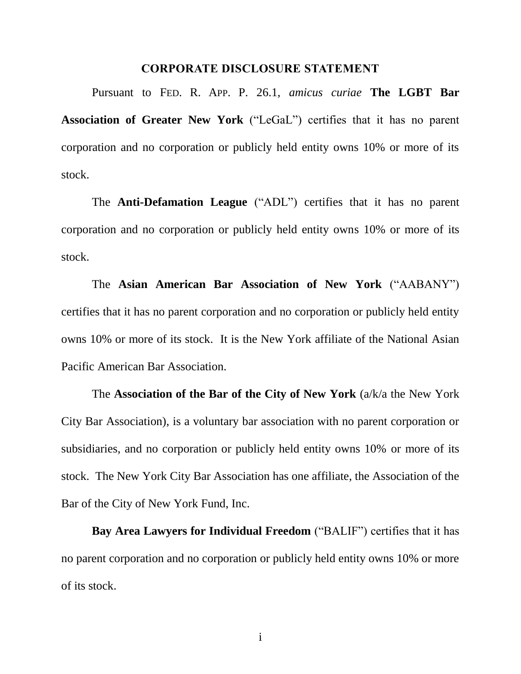#### CORPORATE DISCLOSURE STATEMENT

<span id="page-1-0"></span>Pursuant to FED. R. APP. P. 26.1, *amicus curiae* **The LGBT Bar Association of Greater New York** ("LeGaL") certifies that it has no parent corporation and no corporation or publicly held entity owns 10% or more of its stock.

The **Anti-Defamation League** ("ADL") certifies that it has no parent corporation and no corporation or publicly held entity owns 10% or more of its stock.

The **Asian American Bar Association of New York** ("AABANY") certifies that it has no parent corporation and no corporation or publicly held entity owns 10% or more of its stock. It is the New York affiliate of the National Asian Pacific American Bar Association.

The **Association of the Bar of the City of New York** (a/k/a the New York City Bar Association), is a voluntary bar association with no parent corporation or subsidiaries, and no corporation or publicly held entity owns 10% or more of its stock. The New York City Bar Association has one affiliate, the Association of the Bar of the City of New York Fund, Inc.

**Bay Area Lawyers for Individual Freedom** ("BALIF") certifies that it has no parent corporation and no corporation or publicly held entity owns 10% or more of its stock.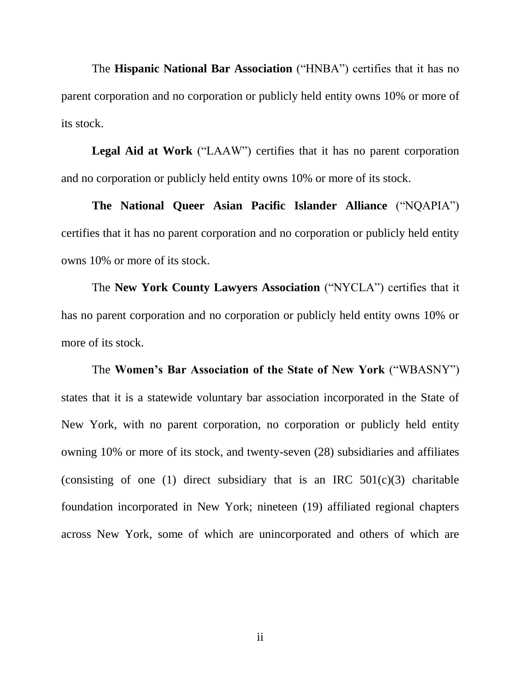The **Hispanic National Bar Association** ("HNBA") certifies that it has no parent corporation and no corporation or publicly held entity owns 10% or more of its stock.

**Legal Aid at Work** ("LAAW") certifies that it has no parent corporation and no corporation or publicly held entity owns 10% or more of its stock.

**The National Queer Asian Pacific Islander Alliance** ("NQAPIA") certifies that it has no parent corporation and no corporation or publicly held entity owns 10% or more of its stock.

The **New York County Lawyers Association** ("NYCLA") certifies that it has no parent corporation and no corporation or publicly held entity owns 10% or more of its stock.

The **Women's Bar Association of the State of New York** ("WBASNY") states that it is a statewide voluntary bar association incorporated in the State of New York, with no parent corporation, no corporation or publicly held entity owning 10% or more of its stock, and twenty-seven (28) subsidiaries and affiliates (consisting of one (1) direct subsidiary that is an IRC  $501(c)(3)$  charitable foundation incorporated in New York; nineteen (19) affiliated regional chapters across New York, some of which are unincorporated and others of which are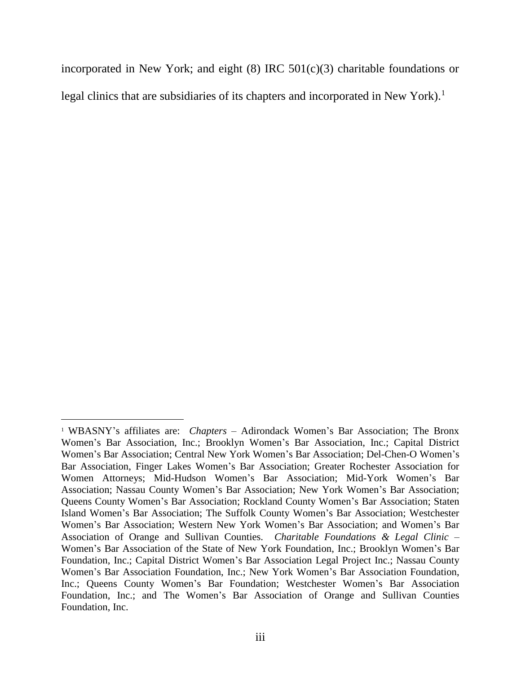incorporated in New York; and eight  $(8)$  IRC  $501(c)(3)$  charitable foundations or legal clinics that are subsidiaries of its chapters and incorporated in New York).<sup>1</sup>

 $\overline{a}$ 

<sup>1</sup> WBASNY's affiliates are: *Chapters* – Adirondack Women's Bar Association; The Bronx Women's Bar Association, Inc.; Brooklyn Women's Bar Association, Inc.; Capital District Women's Bar Association; Central New York Women's Bar Association; Del-Chen-O Women's Bar Association, Finger Lakes Women's Bar Association; Greater Rochester Association for Women Attorneys; Mid-Hudson Women's Bar Association; Mid-York Women's Bar Association; Nassau County Women's Bar Association; New York Women's Bar Association; Queens County Women's Bar Association; Rockland County Women's Bar Association; Staten Island Women's Bar Association; The Suffolk County Women's Bar Association; Westchester Women's Bar Association; Western New York Women's Bar Association; and Women's Bar Association of Orange and Sullivan Counties. *Charitable Foundations & Legal Clinic* – Women's Bar Association of the State of New York Foundation, Inc.; Brooklyn Women's Bar Foundation, Inc.; Capital District Women's Bar Association Legal Project Inc.; Nassau County Women's Bar Association Foundation, Inc.; New York Women's Bar Association Foundation, Inc.; Queens County Women's Bar Foundation; Westchester Women's Bar Association Foundation, Inc.; and The Women's Bar Association of Orange and Sullivan Counties Foundation, Inc.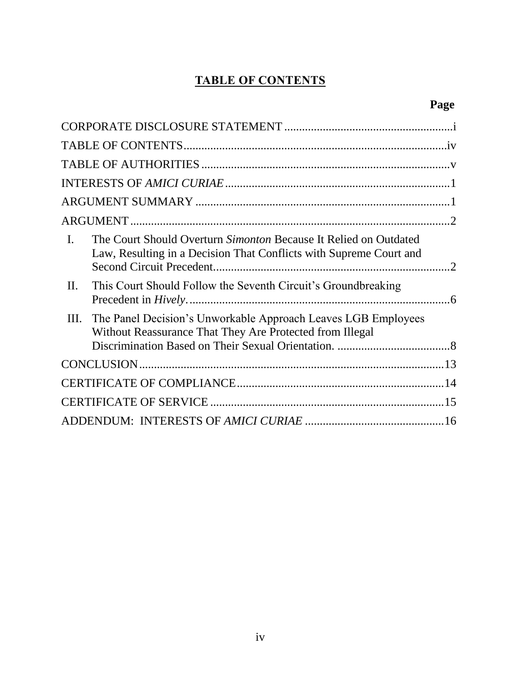### TABLE OF CONTENTS

# **Page**

<span id="page-4-0"></span>

| $\mathbf{I}$ . | The Court Should Overturn Simonton Because It Relied on Outdated<br>Law, Resulting in a Decision That Conflicts with Supreme Court and |  |
|----------------|----------------------------------------------------------------------------------------------------------------------------------------|--|
| $\Pi$ .        | This Court Should Follow the Seventh Circuit's Groundbreaking                                                                          |  |
| Ш.             | The Panel Decision's Unworkable Approach Leaves LGB Employees<br>Without Reassurance That They Are Protected from Illegal              |  |
|                |                                                                                                                                        |  |
|                |                                                                                                                                        |  |
|                |                                                                                                                                        |  |
|                |                                                                                                                                        |  |
|                |                                                                                                                                        |  |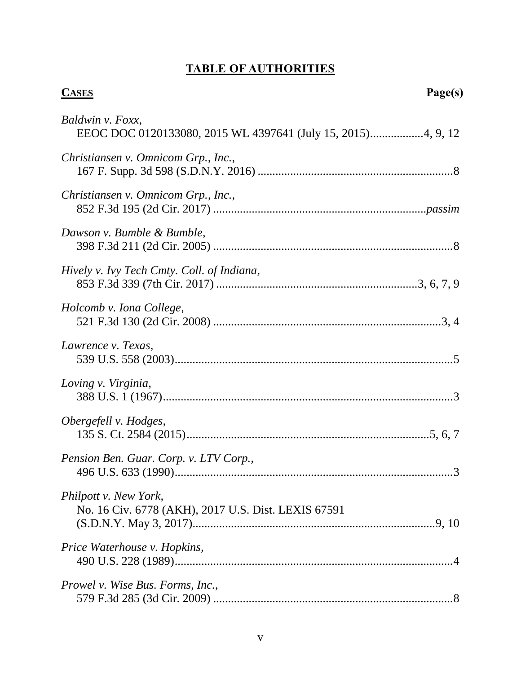# TABLE OF AUTHORITIES

<span id="page-5-0"></span>

| <b>CASES</b>                                                                 | Page(s) |
|------------------------------------------------------------------------------|---------|
| Baldwin v. Foxx,                                                             |         |
| Christiansen v. Omnicom Grp., Inc.,                                          |         |
| Christiansen v. Omnicom Grp., Inc.,                                          |         |
| Dawson v. Bumble & Bumble,                                                   |         |
| Hively v. Ivy Tech Cmty. Coll. of Indiana,                                   |         |
| Holcomb v. Iona College,                                                     |         |
| Lawrence v. Texas,                                                           |         |
| Loving v. Virginia,                                                          |         |
| Obergefell v. Hodges,                                                        |         |
| Pension Ben. Guar. Corp. v. LTV Corp.,                                       |         |
| Philpott v. New York,<br>No. 16 Civ. 6778 (AKH), 2017 U.S. Dist. LEXIS 67591 |         |
| Price Waterhouse v. Hopkins,                                                 |         |
| Prowel v. Wise Bus. Forms, Inc.,                                             |         |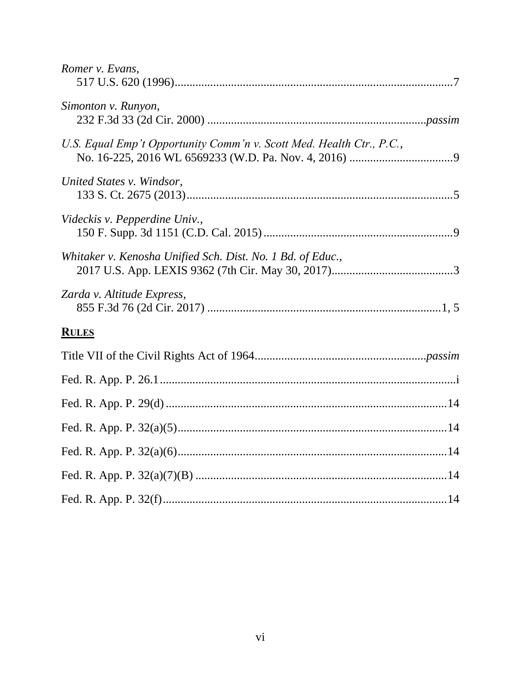| Romer v. Evans,                                                      |
|----------------------------------------------------------------------|
| Simonton v. Runyon,                                                  |
| U.S. Equal Emp't Opportunity Comm'n v. Scott Med. Health Ctr., P.C., |
| United States v. Windsor,                                            |
| Videckis v. Pepperdine Univ.,                                        |
| Whitaker v. Kenosha Unified Sch. Dist. No. 1 Bd. of Educ.,           |
| Zarda v. Altitude Express,                                           |
| <b>RULES</b>                                                         |
|                                                                      |
|                                                                      |
|                                                                      |
|                                                                      |
|                                                                      |
|                                                                      |
|                                                                      |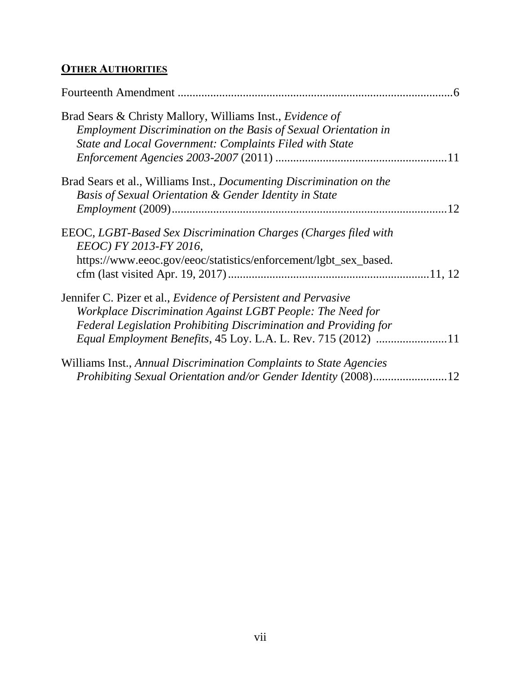## **OTHER AUTHORITIES**

| Brad Sears & Christy Mallory, Williams Inst., <i>Evidence of</i><br>Employment Discrimination on the Basis of Sexual Orientation in<br>State and Local Government: Complaints Filed with State |    |
|------------------------------------------------------------------------------------------------------------------------------------------------------------------------------------------------|----|
| Brad Sears et al., Williams Inst., <i>Documenting Discrimination on the</i>                                                                                                                    |    |
| Basis of Sexual Orientation & Gender Identity in State                                                                                                                                         |    |
|                                                                                                                                                                                                | 12 |
| EEOC, LGBT-Based Sex Discrimination Charges (Charges filed with<br>EEOC) FY 2013-FY 2016,                                                                                                      |    |
| https://www.eeoc.gov/eeoc/statistics/enforcement/lgbt_sex_based.                                                                                                                               |    |
|                                                                                                                                                                                                |    |
| Jennifer C. Pizer et al., <i>Evidence of Persistent and Pervasive</i>                                                                                                                          |    |
| Workplace Discrimination Against LGBT People: The Need for                                                                                                                                     |    |
| Federal Legislation Prohibiting Discrimination and Providing for                                                                                                                               |    |
| Equal Employment Benefits, 45 Loy. L.A. L. Rev. 715 (2012) 11                                                                                                                                  |    |
| Williams Inst., Annual Discrimination Complaints to State Agencies                                                                                                                             |    |
|                                                                                                                                                                                                |    |
|                                                                                                                                                                                                |    |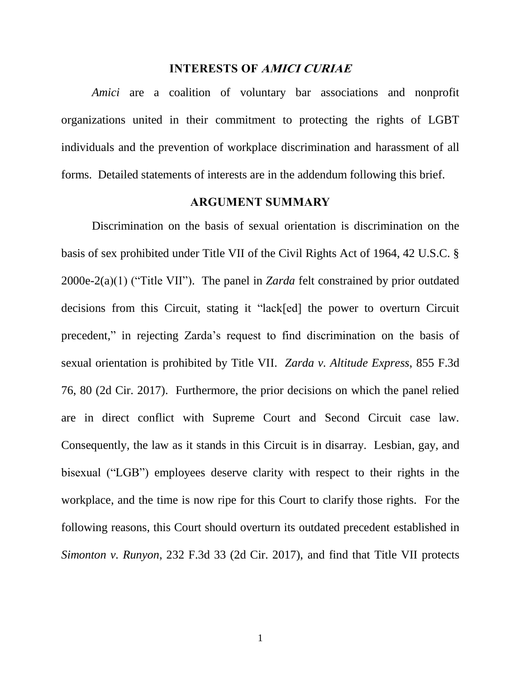#### INTERESTS OF AMICI CURIAE

<span id="page-8-0"></span>*Amici* are a coalition of voluntary bar associations and nonprofit organizations united in their commitment to protecting the rights of LGBT individuals and the prevention of workplace discrimination and harassment of all forms. Detailed statements of interests are in the addendum following this brief.

#### <span id="page-8-2"></span>ARGUMENT SUMMARY

<span id="page-8-1"></span>Discrimination on the basis of sexual orientation is discrimination on the basis of sex prohibited under Title VII of the Civil Rights Act of 1964, 42 U.S.C. § 2000e-2(a)(1) ("Title VII"). The panel in *Zarda* felt constrained by prior outdated decisions from this Circuit, stating it "lack[ed] the power to overturn Circuit precedent," in rejecting Zarda's request to find discrimination on the basis of sexual orientation is prohibited by Title VII. *Zarda v. Altitude Express*, 855 F.3d 76, 80 (2d Cir. 2017). Furthermore, the prior decisions on which the panel relied are in direct conflict with Supreme Court and Second Circuit case law. Consequently, the law as it stands in this Circuit is in disarray. Lesbian, gay, and bisexual ("LGB") employees deserve clarity with respect to their rights in the workplace, and the time is now ripe for this Court to clarify those rights. For the following reasons, this Court should overturn its outdated precedent established in *Simonton v. Runyon*, 232 F.3d 33 (2d Cir. 2017), and find that Title VII protects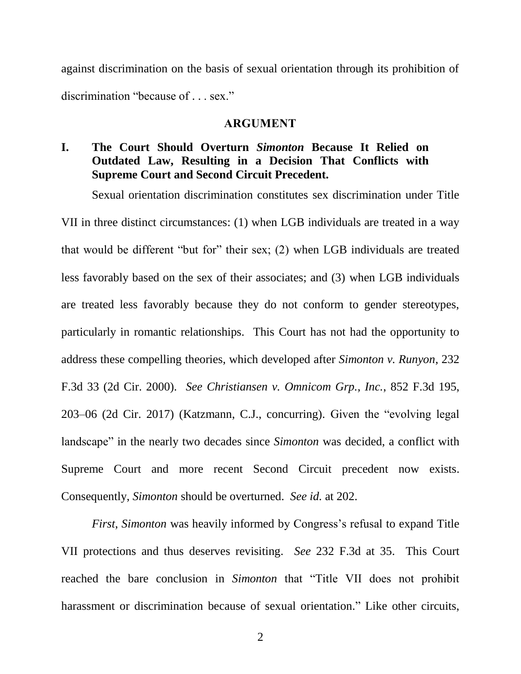against discrimination on the basis of sexual orientation through its prohibition of discrimination "because of . . . sex."

#### <span id="page-9-3"></span>ARGUMENT

#### <span id="page-9-1"></span><span id="page-9-0"></span>**I. The Court Should Overturn** *Simonton* **Because It Relied on Outdated Law, Resulting in a Decision That Conflicts with Supreme Court and Second Circuit Precedent.**

Sexual orientation discrimination constitutes sex discrimination under Title VII in three distinct circumstances: (1) when LGB individuals are treated in a way that would be different "but for" their sex; (2) when LGB individuals are treated less favorably based on the sex of their associates; and (3) when LGB individuals are treated less favorably because they do not conform to gender stereotypes, particularly in romantic relationships. This Court has not had the opportunity to address these compelling theories, which developed after *Simonton v. Runyon*, 232 F.3d 33 (2d Cir. 2000). *See Christiansen v. Omnicom Grp., Inc.*, 852 F.3d 195, 203–06 (2d Cir. 2017) (Katzmann, C.J., concurring). Given the "evolving legal landscape" in the nearly two decades since *Simonton* was decided, a conflict with Supreme Court and more recent Second Circuit precedent now exists. Consequently, *Simonton* should be overturned. *See id.* at 202.

<span id="page-9-2"></span>*First*, *Simonton* was heavily informed by Congress's refusal to expand Title VII protections and thus deserves revisiting. *See* 232 F.3d at 35. This Court reached the bare conclusion in *Simonton* that "Title VII does not prohibit harassment or discrimination because of sexual orientation." Like other circuits,

2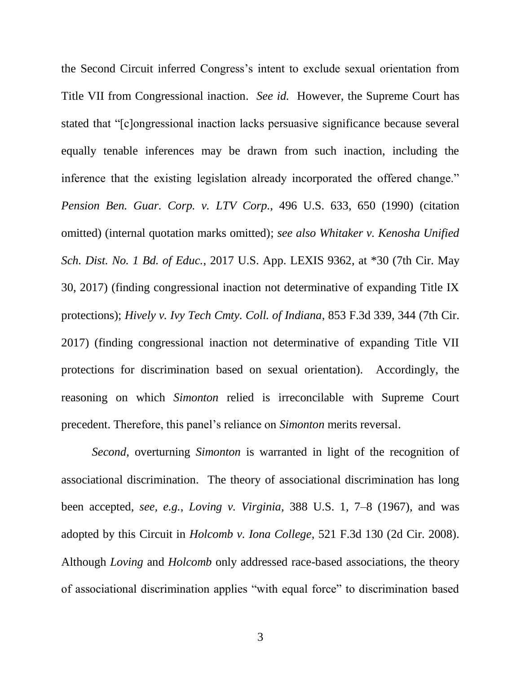<span id="page-10-2"></span>the Second Circuit inferred Congress's intent to exclude sexual orientation from Title VII from Congressional inaction. *See id.* However, the Supreme Court has stated that "[c]ongressional inaction lacks persuasive significance because several equally tenable inferences may be drawn from such inaction, including the inference that the existing legislation already incorporated the offered change." *Pension Ben. Guar. Corp. v. LTV Corp.*, 496 U.S. 633, 650 (1990) (citation omitted) (internal quotation marks omitted); *see also Whitaker v. Kenosha Unified Sch. Dist. No. 1 Bd. of Educ.*, 2017 U.S. App. LEXIS 9362, at \*30 (7th Cir. May 30, 2017) (finding congressional inaction not determinative of expanding Title IX protections); *Hively v. Ivy Tech Cmty. Coll. of Indiana*, 853 F.3d 339, 344 (7th Cir. 2017) (finding congressional inaction not determinative of expanding Title VII protections for discrimination based on sexual orientation). Accordingly, the reasoning on which *Simonton* relied is irreconcilable with Supreme Court precedent. Therefore, this panel's reliance on *Simonton* merits reversal.

<span id="page-10-1"></span><span id="page-10-0"></span>*Second*, overturning *Simonton* is warranted in light of the recognition of associational discrimination. The theory of associational discrimination has long been accepted, *see, e.g.*, *Loving v. Virginia*, 388 U.S. 1, 7–8 (1967), and was adopted by this Circuit in *Holcomb v. Iona College*, 521 F.3d 130 (2d Cir. 2008). Although *Loving* and *Holcomb* only addressed race-based associations, the theory of associational discrimination applies "with equal force" to discrimination based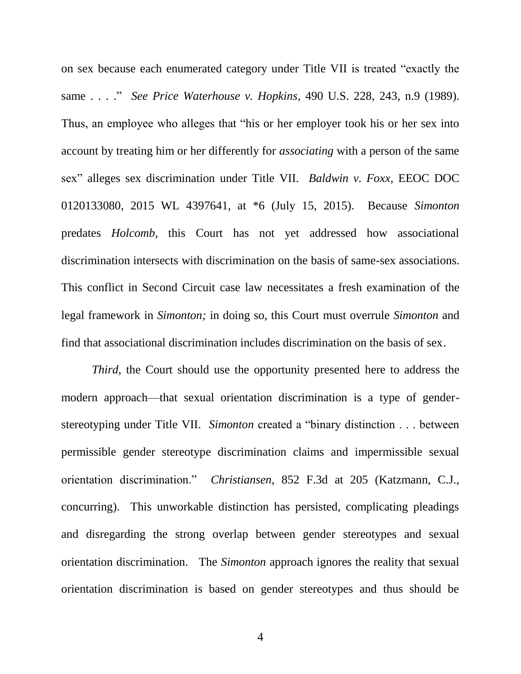<span id="page-11-2"></span><span id="page-11-0"></span>on sex because each enumerated category under Title VII is treated "exactly the same . . . ." *See Price Waterhouse v. Hopkins*, 490 U.S. 228, 243, n.9 (1989). Thus, an employee who alleges that "his or her employer took his or her sex into account by treating him or her differently for *associating* with a person of the same sex" alleges sex discrimination under Title VII. *Baldwin v. Foxx*, EEOC DOC 0120133080, 2015 WL 4397641, at \*6 (July 15, 2015). Because *Simonton* predates *Holcomb*, this Court has not yet addressed how associational discrimination intersects with discrimination on the basis of same-sex associations. This conflict in Second Circuit case law necessitates a fresh examination of the legal framework in *Simonton;* in doing so, this Court must overrule *Simonton* and find that associational discrimination includes discrimination on the basis of sex.

<span id="page-11-1"></span>*Third*, the Court should use the opportunity presented here to address the modern approach—that sexual orientation discrimination is a type of genderstereotyping under Title VII. *Simonton* created a "binary distinction . . . between permissible gender stereotype discrimination claims and impermissible sexual orientation discrimination." *Christiansen*, 852 F.3d at 205 (Katzmann, C.J., concurring). This unworkable distinction has persisted, complicating pleadings and disregarding the strong overlap between gender stereotypes and sexual orientation discrimination. The *Simonton* approach ignores the reality that sexual orientation discrimination is based on gender stereotypes and thus should be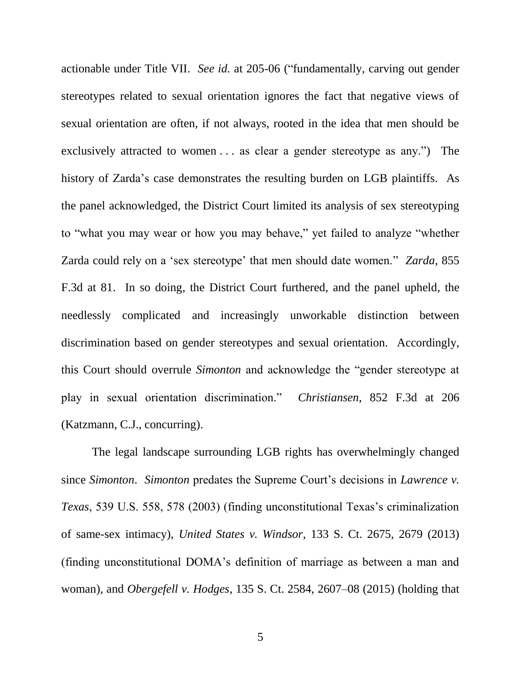actionable under Title VII. *See id.* at 205-06 ("fundamentally, carving out gender stereotypes related to sexual orientation ignores the fact that negative views of sexual orientation are often, if not always, rooted in the idea that men should be exclusively attracted to women . . . as clear a gender stereotype as any.") The history of Zarda's case demonstrates the resulting burden on LGB plaintiffs. As the panel acknowledged, the District Court limited its analysis of sex stereotyping to "what you may wear or how you may behave," yet failed to analyze "whether Zarda could rely on a 'sex stereotype' that men should date women." *Zarda*, 855 F.3d at 81. In so doing, the District Court furthered, and the panel upheld, the needlessly complicated and increasingly unworkable distinction between discrimination based on gender stereotypes and sexual orientation. Accordingly, this Court should overrule *Simonton* and acknowledge the "gender stereotype at play in sexual orientation discrimination." *Christiansen*, 852 F.3d at 206 (Katzmann, C.J., concurring).

<span id="page-12-2"></span><span id="page-12-1"></span><span id="page-12-0"></span>The legal landscape surrounding LGB rights has overwhelmingly changed since *Simonton*. *Simonton* predates the Supreme Court's decisions in *Lawrence v. Texas*, 539 U.S. 558, 578 (2003) (finding unconstitutional Texas's criminalization of same-sex intimacy), *United States v. Windsor*, 133 S. Ct. 2675, 2679 (2013) (finding unconstitutional DOMA's definition of marriage as between a man and woman), and *Obergefell v. Hodges*, 135 S. Ct. 2584, 2607–08 (2015) (holding that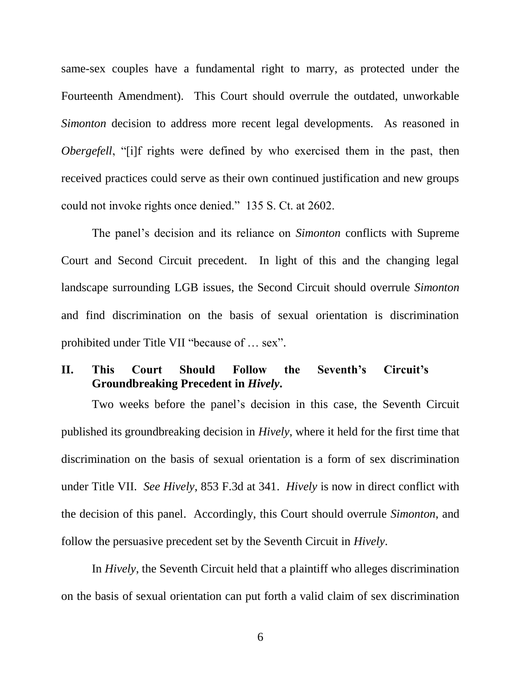<span id="page-13-2"></span>same-sex couples have a fundamental right to marry, as protected under the Fourteenth Amendment). This Court should overrule the outdated, unworkable *Simonton* decision to address more recent legal developments. As reasoned in *Obergefell*, "[i]f rights were defined by who exercised them in the past, then received practices could serve as their own continued justification and new groups could not invoke rights once denied." 135 S. Ct. at 2602.

The panel's decision and its reliance on *Simonton* conflicts with Supreme Court and Second Circuit precedent. In light of this and the changing legal landscape surrounding LGB issues, the Second Circuit should overrule *Simonton*  and find discrimination on the basis of sexual orientation is discrimination prohibited under Title VII "because of … sex".

#### <span id="page-13-1"></span><span id="page-13-0"></span>**II. This Court Should Follow the Seventh's Circuit's Groundbreaking Precedent in** *Hively***.**

Two weeks before the panel's decision in this case, the Seventh Circuit published its groundbreaking decision in *Hively*, where it held for the first time that discrimination on the basis of sexual orientation is a form of sex discrimination under Title VII. *See Hively*, 853 F.3d at 341. *Hively* is now in direct conflict with the decision of this panel. Accordingly, this Court should overrule *Simonton*, and follow the persuasive precedent set by the Seventh Circuit in *Hively*.

In *Hively*, the Seventh Circuit held that a plaintiff who alleges discrimination on the basis of sexual orientation can put forth a valid claim of sex discrimination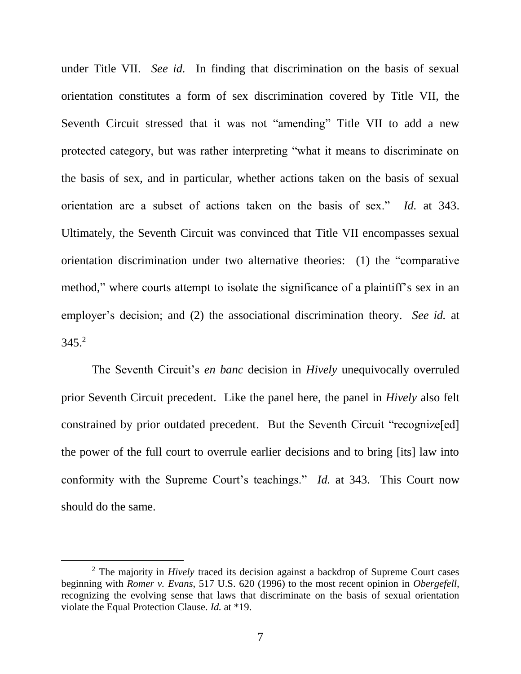under Title VII. *See id.* In finding that discrimination on the basis of sexual orientation constitutes a form of sex discrimination covered by Title VII, the Seventh Circuit stressed that it was not "amending" Title VII to add a new protected category, but was rather interpreting "what it means to discriminate on the basis of sex, and in particular, whether actions taken on the basis of sexual orientation are a subset of actions taken on the basis of sex." *Id.* at 343. Ultimately, the Seventh Circuit was convinced that Title VII encompasses sexual orientation discrimination under two alternative theories: (1) the "comparative method," where courts attempt to isolate the significance of a plaintiff's sex in an employer's decision; and (2) the associational discrimination theory. *See id.* at  $345.<sup>2</sup>$ 

The Seventh Circuit's *en banc* decision in *Hively* unequivocally overruled prior Seventh Circuit precedent. Like the panel here, the panel in *Hively* also felt constrained by prior outdated precedent. But the Seventh Circuit "recognize[ed] the power of the full court to overrule earlier decisions and to bring [its] law into conformity with the Supreme Court's teachings." *Id.* at 343. This Court now should do the same.

l

<sup>2</sup> The majority in *Hively* traced its decision against a backdrop of Supreme Court cases beginning with *Romer v. Evans*, 517 U.S. 620 (1996) to the most recent opinion in *Obergefell,* recognizing the evolving sense that laws that discriminate on the basis of sexual orientation violate the Equal Protection Clause. *Id.* at \*19.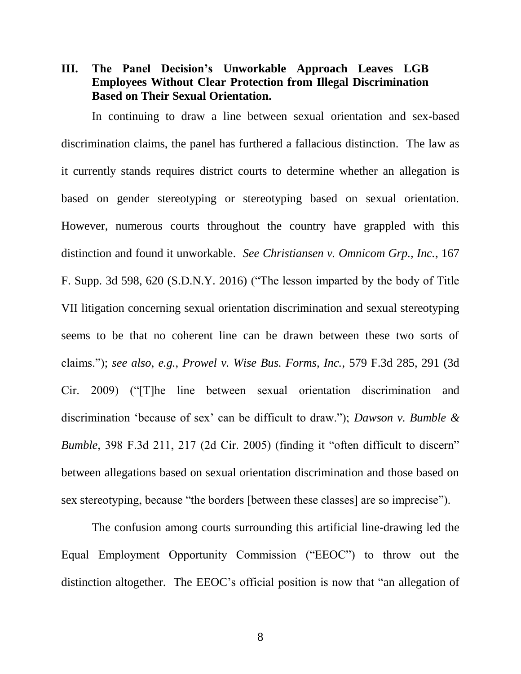<span id="page-15-0"></span>**III. The Panel Decision's Unworkable Approach Leaves LGB Employees Without Clear Protection from Illegal Discrimination Based on Their Sexual Orientation.** 

In continuing to draw a line between sexual orientation and sex-based discrimination claims, the panel has furthered a fallacious distinction. The law as it currently stands requires district courts to determine whether an allegation is based on gender stereotyping or stereotyping based on sexual orientation. However, numerous courts throughout the country have grappled with this distinction and found it unworkable. *See Christiansen v. Omnicom Grp., Inc.*, 167 F. Supp. 3d 598, 620 (S.D.N.Y. 2016) ("The lesson imparted by the body of Title VII litigation concerning sexual orientation discrimination and sexual stereotyping seems to be that no coherent line can be drawn between these two sorts of claims."); *see also*, *e.g.*, *Prowel v. Wise Bus. Forms, Inc.*, 579 F.3d 285, 291 (3d Cir. 2009) ("[T]he line between sexual orientation discrimination and discrimination 'because of sex' can be difficult to draw."); *Dawson v. Bumble & Bumble*, 398 F.3d 211, 217 (2d Cir. 2005) (finding it "often difficult to discern" between allegations based on sexual orientation discrimination and those based on sex stereotyping, because "the borders [between these classes] are so imprecise").

<span id="page-15-2"></span><span id="page-15-1"></span>The confusion among courts surrounding this artificial line-drawing led the Equal Employment Opportunity Commission ("EEOC") to throw out the distinction altogether. The EEOC's official position is now that "an allegation of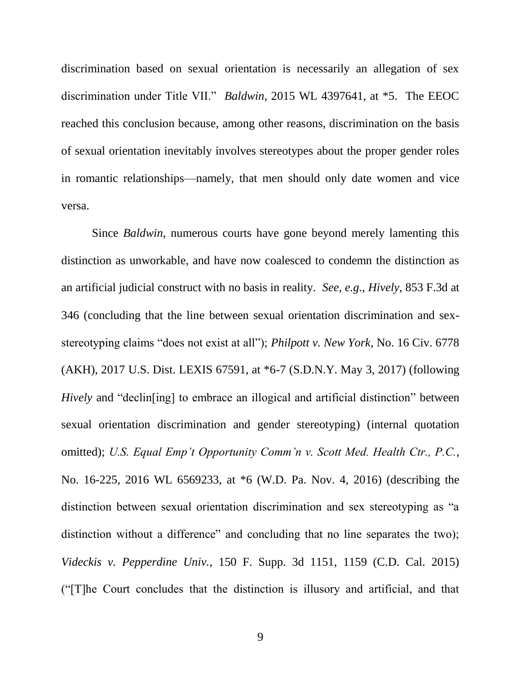<span id="page-16-0"></span>discrimination based on sexual orientation is necessarily an allegation of sex discrimination under Title VII." *Baldwin*, 2015 WL 4397641, at \*5. The EEOC reached this conclusion because, among other reasons, discrimination on the basis of sexual orientation inevitably involves stereotypes about the proper gender roles in romantic relationships—namely, that men should only date women and vice versa.

<span id="page-16-2"></span><span id="page-16-1"></span>Since *Baldwin*, numerous courts have gone beyond merely lamenting this distinction as unworkable, and have now coalesced to condemn the distinction as an artificial judicial construct with no basis in reality. *See, e.g.*, *Hively*, 853 F.3d at 346 (concluding that the line between sexual orientation discrimination and sexstereotyping claims "does not exist at all"); *Philpott v. New York*, No. 16 Civ. 6778 (AKH), 2017 U.S. Dist. LEXIS 67591, at \*6-7 (S.D.N.Y. May 3, 2017) (following *Hively* and "declin<sup>[ing]</sup> to embrace an illogical and artificial distinction" between sexual orientation discrimination and gender stereotyping) (internal quotation omitted); *U.S. Equal Emp't Opportunity Comm'n v. Scott Med. Health Ctr., P.C.*, No. 16-225, 2016 WL 6569233, at \*6 (W.D. Pa. Nov. 4, 2016) (describing the distinction between sexual orientation discrimination and sex stereotyping as "a distinction without a difference" and concluding that no line separates the two); *Videckis v. Pepperdine Univ.*, 150 F. Supp. 3d 1151, 1159 (C.D. Cal. 2015) ("[T]he Court concludes that the distinction is illusory and artificial, and that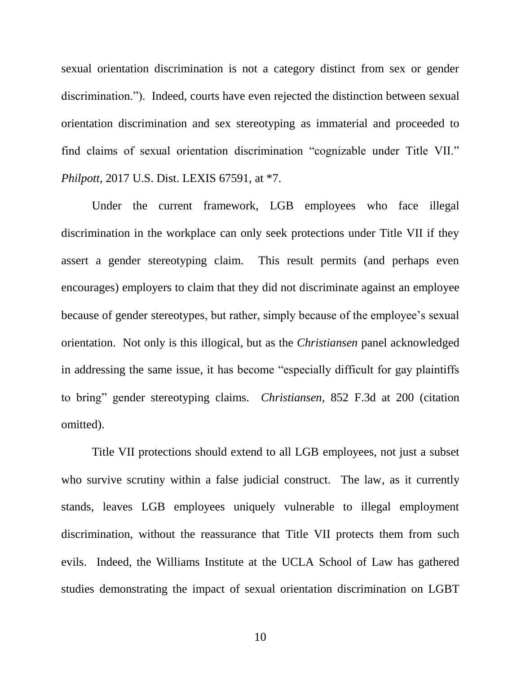sexual orientation discrimination is not a category distinct from sex or gender discrimination."). Indeed, courts have even rejected the distinction between sexual orientation discrimination and sex stereotyping as immaterial and proceeded to find claims of sexual orientation discrimination "cognizable under Title VII." *Philpott*, 2017 U.S. Dist. LEXIS 67591, at \*7.

Under the current framework, LGB employees who face illegal discrimination in the workplace can only seek protections under Title VII if they assert a gender stereotyping claim. This result permits (and perhaps even encourages) employers to claim that they did not discriminate against an employee because of gender stereotypes, but rather, simply because of the employee's sexual orientation. Not only is this illogical, but as the *Christiansen* panel acknowledged in addressing the same issue, it has become "especially difficult for gay plaintiffs to bring" gender stereotyping claims. *Christiansen*, 852 F.3d at 200 (citation omitted).

Title VII protections should extend to all LGB employees, not just a subset who survive scrutiny within a false judicial construct. The law, as it currently stands, leaves LGB employees uniquely vulnerable to illegal employment discrimination, without the reassurance that Title VII protects them from such evils. Indeed, the Williams Institute at the UCLA School of Law has gathered studies demonstrating the impact of sexual orientation discrimination on LGBT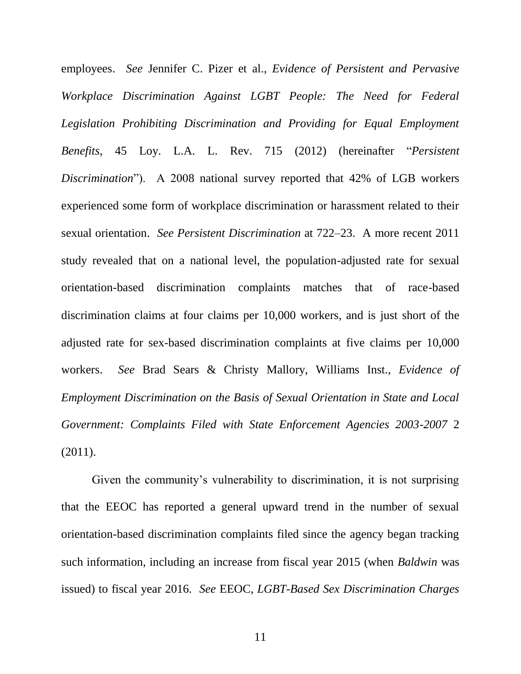<span id="page-18-3"></span>employees. *See* Jennifer C. Pizer et al., *Evidence of Persistent and Pervasive Workplace Discrimination Against LGBT People: The Need for Federal Legislation Prohibiting Discrimination and Providing for Equal Employment Benefits*, 45 Loy. L.A. L. Rev. 715 (2012) (hereinafter "*Persistent Discrimination*"). A 2008 national survey reported that 42% of LGB workers experienced some form of workplace discrimination or harassment related to their sexual orientation. *See Persistent Discrimination* at 722–23. A more recent 2011 study revealed that on a national level, the population-adjusted rate for sexual orientation-based discrimination complaints matches that of race-based discrimination claims at four claims per 10,000 workers, and is just short of the adjusted rate for sex-based discrimination complaints at five claims per 10,000 workers. *See* Brad Sears & Christy Mallory, Williams Inst., *Evidence of Employment Discrimination on the Basis of Sexual Orientation in State and Local Government: Complaints Filed with State Enforcement Agencies 2003-2007* 2 (2011).

<span id="page-18-2"></span><span id="page-18-1"></span><span id="page-18-0"></span>Given the community's vulnerability to discrimination, it is not surprising that the EEOC has reported a general upward trend in the number of sexual orientation-based discrimination complaints filed since the agency began tracking such information, including an increase from fiscal year 2015 (when *Baldwin* was issued) to fiscal year 2016. *See* EEOC, *LGBT-Based Sex Discrimination Charges*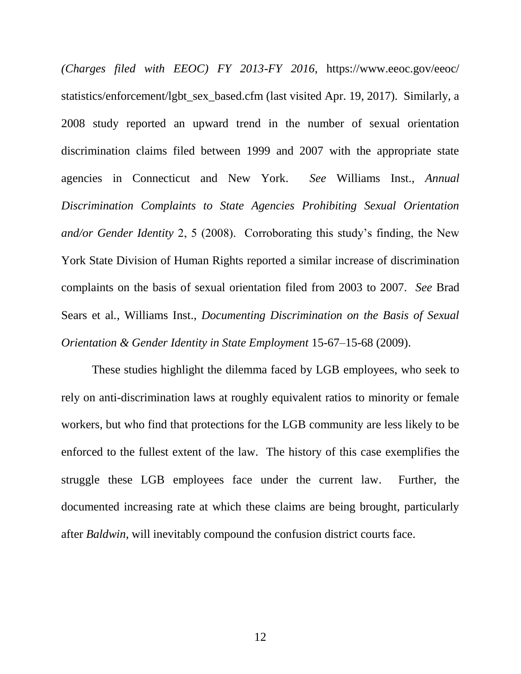<span id="page-19-0"></span>*(Charges filed with EEOC) FY 2013-FY 2016*, https://www.eeoc.gov/eeoc/ statistics/enforcement/lgbt\_sex\_based.cfm (last visited Apr. 19, 2017). Similarly, a 2008 study reported an upward trend in the number of sexual orientation discrimination claims filed between 1999 and 2007 with the appropriate state agencies in Connecticut and New York. *See* Williams Inst., *Annual Discrimination Complaints to State Agencies Prohibiting Sexual Orientation and/or Gender Identity* 2, 5 (2008). Corroborating this study's finding, the New York State Division of Human Rights reported a similar increase of discrimination complaints on the basis of sexual orientation filed from 2003 to 2007. *See* Brad Sears et al*.*, Williams Inst., *Documenting Discrimination on the Basis of Sexual Orientation & Gender Identity in State Employment* 15-67–15-68 (2009).

These studies highlight the dilemma faced by LGB employees, who seek to rely on anti-discrimination laws at roughly equivalent ratios to minority or female workers, but who find that protections for the LGB community are less likely to be enforced to the fullest extent of the law. The history of this case exemplifies the struggle these LGB employees face under the current law. Further, the documented increasing rate at which these claims are being brought, particularly after *Baldwin*, will inevitably compound the confusion district courts face.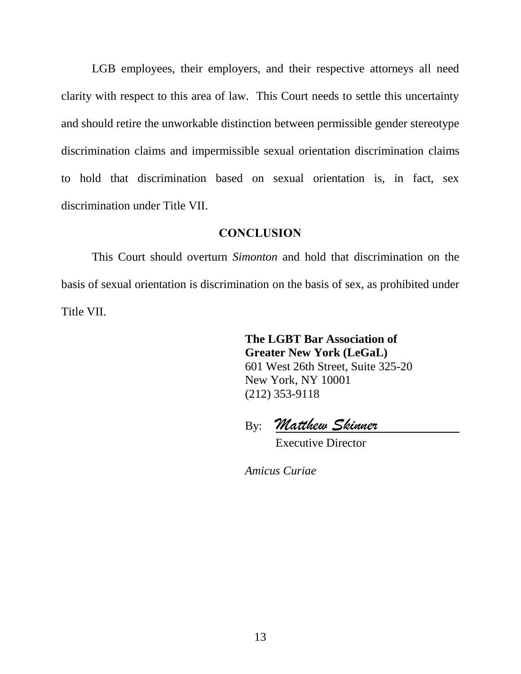LGB employees, their employers, and their respective attorneys all need clarity with respect to this area of law. This Court needs to settle this uncertainty and should retire the unworkable distinction between permissible gender stereotype discrimination claims and impermissible sexual orientation discrimination claims to hold that discrimination based on sexual orientation is, in fact, sex discrimination under Title VII.

#### **CONCLUSION**

<span id="page-20-0"></span>This Court should overturn *Simonton* and hold that discrimination on the basis of sexual orientation is discrimination on the basis of sex, as prohibited under Title VII.

> **The LGBT Bar Association of Greater New York (LeGaL)** 601 West 26th Street, Suite 325-20 New York, NY 10001 (212) 353-9118

By: *Matthew Skinner*

Executive Director

*Amicus Curiae*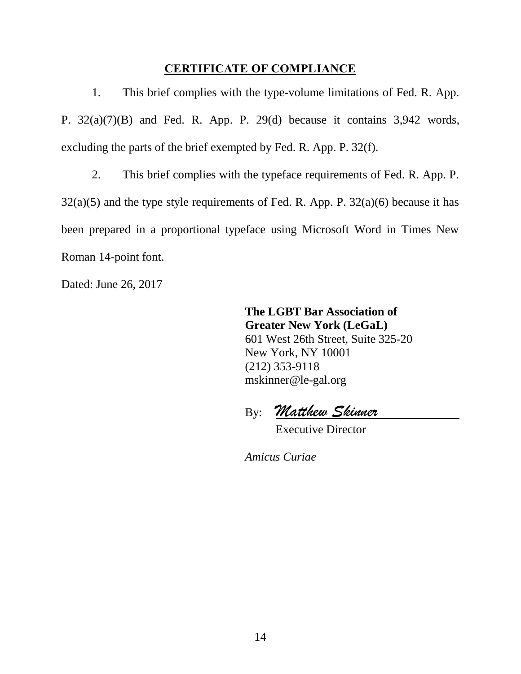#### <span id="page-21-3"></span>CERTIFICATE OF COMPLIANCE

<span id="page-21-0"></span>1. This brief complies with the type-volume limitations of Fed. R. App. P. 32(a)(7)(B) and Fed. R. App. P. 29(d) because it contains 3,942 words, excluding the parts of the brief exempted by Fed. R. App. P. 32(f).

2. This brief complies with the typeface requirements of Fed. R. App. P.  $32(a)(5)$  and the type style requirements of Fed. R. App. P.  $32(a)(6)$  because it has been prepared in a proportional typeface using Microsoft Word in Times New Roman 14-point font.

Dated: June 26, 2017

<span id="page-21-2"></span><span id="page-21-1"></span>**The LGBT Bar Association of Greater New York (LeGaL)** 601 West 26th Street, Suite 325-20 New York, NY 10001 (212) 353-9118 mskinner@le-gal.org

By: *Matthew Skinner*

Executive Director

*Amicus Curiae*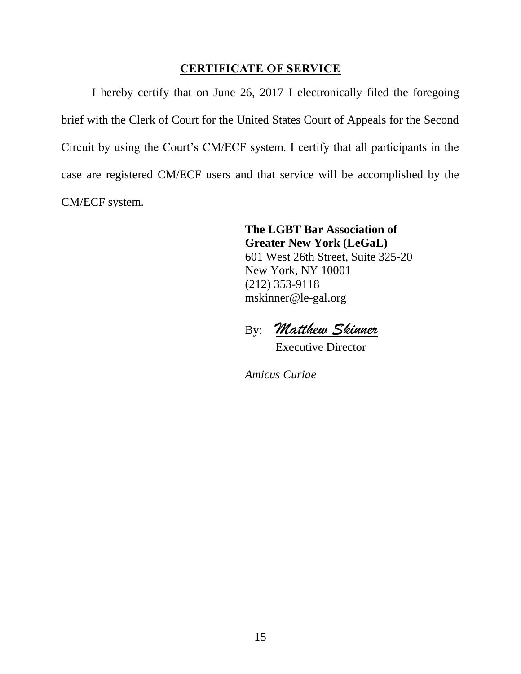#### CERTIFICATE OF SERVICE

<span id="page-22-0"></span>I hereby certify that on June 26, 2017 I electronically filed the foregoing brief with the Clerk of Court for the United States Court of Appeals for the Second Circuit by using the Court's CM/ECF system. I certify that all participants in the case are registered CM/ECF users and that service will be accomplished by the CM/ECF system.

> **The LGBT Bar Association of Greater New York (LeGaL)** 601 West 26th Street, Suite 325-20 New York, NY 10001 (212) 353-9118 mskinner@le-gal.org

By: *Matthew Skinner*

Executive Director

*Amicus Curiae*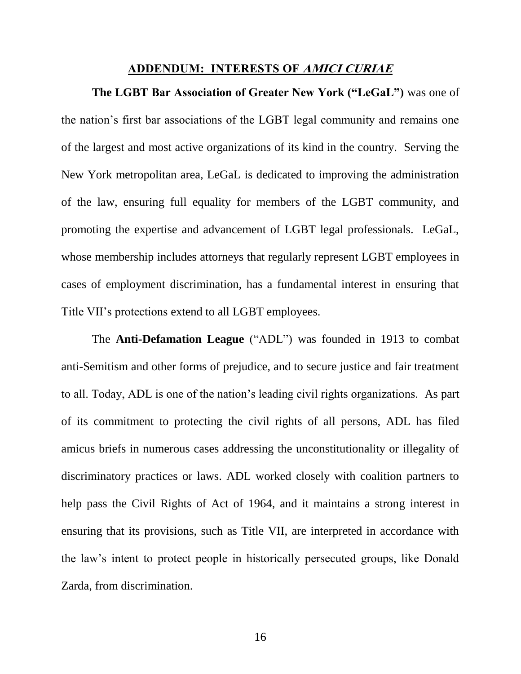#### ADDENDUM: INTERESTS OF AMICI CURIAE

<span id="page-23-0"></span>**The LGBT Bar Association of Greater New York ("LeGaL")** was one of the nation's first bar associations of the LGBT legal community and remains one of the largest and most active organizations of its kind in the country. Serving the New York metropolitan area, LeGaL is dedicated to improving the administration of the law, ensuring full equality for members of the LGBT community, and promoting the expertise and advancement of LGBT legal professionals. LeGaL, whose membership includes attorneys that regularly represent LGBT employees in cases of employment discrimination, has a fundamental interest in ensuring that Title VII's protections extend to all LGBT employees.

The **Anti-Defamation League** ("ADL") was founded in 1913 to combat anti-Semitism and other forms of prejudice, and to secure justice and fair treatment to all. Today, ADL is one of the nation's leading civil rights organizations. As part of its commitment to protecting the civil rights of all persons, ADL has filed amicus briefs in numerous cases addressing the unconstitutionality or illegality of discriminatory practices or laws. ADL worked closely with coalition partners to help pass the Civil Rights of Act of 1964, and it maintains a strong interest in ensuring that its provisions, such as Title VII, are interpreted in accordance with the law's intent to protect people in historically persecuted groups, like Donald Zarda, from discrimination.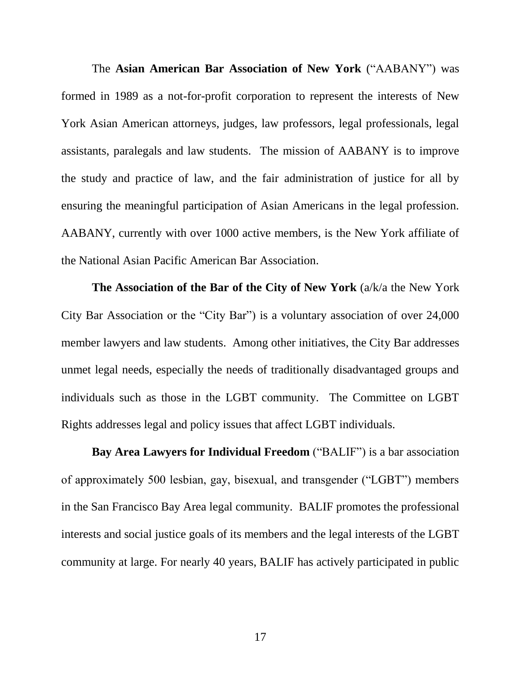The **Asian American Bar Association of New York** ("AABANY") was formed in 1989 as a not-for-profit corporation to represent the interests of New York Asian American attorneys, judges, law professors, legal professionals, legal assistants, paralegals and law students. The mission of AABANY is to improve the study and practice of law, and the fair administration of justice for all by ensuring the meaningful participation of Asian Americans in the legal profession. AABANY, currently with over 1000 active members, is the New York affiliate of the National Asian Pacific American Bar Association.

**The Association of the Bar of the City of New York** (a/k/a the New York City Bar Association or the "City Bar") is a voluntary association of over 24,000 member lawyers and law students. Among other initiatives, the City Bar addresses unmet legal needs, especially the needs of traditionally disadvantaged groups and individuals such as those in the LGBT community. The Committee on LGBT Rights addresses legal and policy issues that affect LGBT individuals.

**Bay Area Lawyers for Individual Freedom** ("BALIF") is a bar association of approximately 500 lesbian, gay, bisexual, and transgender ("LGBT") members in the San Francisco Bay Area legal community. BALIF promotes the professional interests and social justice goals of its members and the legal interests of the LGBT community at large. For nearly 40 years, BALIF has actively participated in public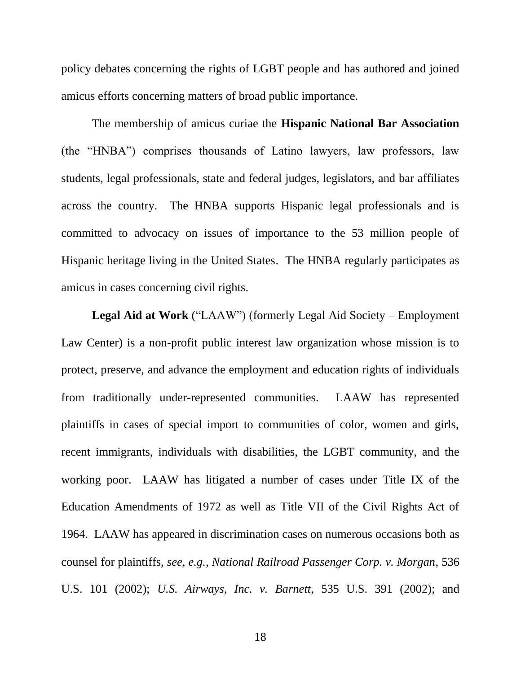policy debates concerning the rights of LGBT people and has authored and joined amicus efforts concerning matters of broad public importance.

The membership of amicus curiae the **Hispanic National Bar Association** (the "HNBA") comprises thousands of Latino lawyers, law professors, law students, legal professionals, state and federal judges, legislators, and bar affiliates across the country. The HNBA supports Hispanic legal professionals and is committed to advocacy on issues of importance to the 53 million people of Hispanic heritage living in the United States. The HNBA regularly participates as amicus in cases concerning civil rights.

**Legal Aid at Work** ("LAAW") (formerly Legal Aid Society – Employment Law Center) is a non-profit public interest law organization whose mission is to protect, preserve, and advance the employment and education rights of individuals from traditionally under-represented communities. LAAW has represented plaintiffs in cases of special import to communities of color, women and girls, recent immigrants, individuals with disabilities, the LGBT community, and the working poor. LAAW has litigated a number of cases under Title IX of the Education Amendments of 1972 as well as Title VII of the Civil Rights Act of 1964. LAAW has appeared in discrimination cases on numerous occasions both as counsel for plaintiffs, *see, e.g.*, *National Railroad Passenger Corp. v. Morgan*, 536 U.S. 101 (2002); *U.S. Airways, Inc. v. Barnett*, 535 U.S. 391 (2002); and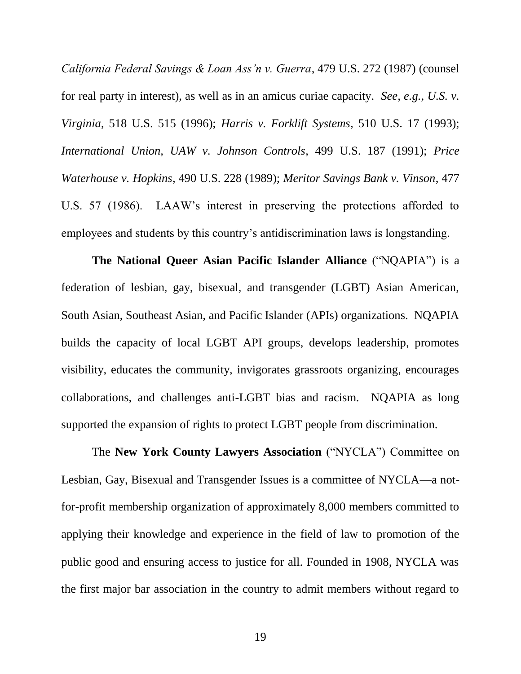*California Federal Savings & Loan Ass'n v. Guerra*, 479 U.S. 272 (1987) (counsel for real party in interest), as well as in an amicus curiae capacity. *See, e.g.*, *U.S. v. Virginia*, 518 U.S. 515 (1996); *Harris v. Forklift Systems*, 510 U.S. 17 (1993); *International Union, UAW v. Johnson Controls*, 499 U.S. 187 (1991); *Price Waterhouse v. Hopkins*, 490 U.S. 228 (1989); *Meritor Savings Bank v. Vinson*, 477 U.S. 57 (1986). LAAW's interest in preserving the protections afforded to employees and students by this country's antidiscrimination laws is longstanding.

**The National Queer Asian Pacific Islander Alliance** ("NQAPIA") is a federation of lesbian, gay, bisexual, and transgender (LGBT) Asian American, South Asian, Southeast Asian, and Pacific Islander (APIs) organizations. NQAPIA builds the capacity of local LGBT API groups, develops leadership, promotes visibility, educates the community, invigorates grassroots organizing, encourages collaborations, and challenges anti-LGBT bias and racism. NQAPIA as long supported the expansion of rights to protect LGBT people from discrimination.

The **New York County Lawyers Association** ("NYCLA") Committee on Lesbian, Gay, Bisexual and Transgender Issues is a committee of NYCLA—a notfor-profit membership organization of approximately 8,000 members committed to applying their knowledge and experience in the field of law to promotion of the public good and ensuring access to justice for all. Founded in 1908, NYCLA was the first major bar association in the country to admit members without regard to